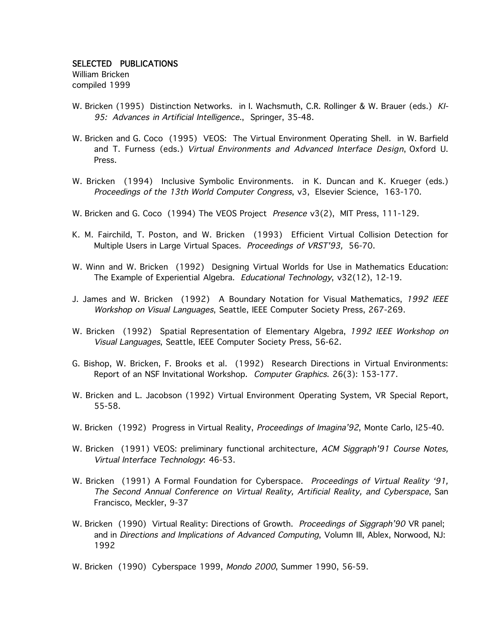## SELECTED PUBLICATIONS

William Bricken compiled 1999

- W. Bricken (1995) Distinction Networks. in I. Wachsmuth, C.R. Rollinger & W. Brauer (eds.) KI-95: Advances in Artificial Intelligence., Springer, 35-48.
- W. Bricken and G. Coco (1995) VEOS: The Virtual Environment Operating Shell. in W. Barfield and T. Furness (eds.) Virtual Environments and Advanced Interface Design, Oxford U. Press.
- W. Bricken (1994) Inclusive Symbolic Environments. in K. Duncan and K. Krueger (eds.) Proceedings of the 13th World Computer Congress, v3, Elsevier Science, 163-170.
- W. Bricken and G. Coco (1994) The VEOS Project Presence v3(2), MIT Press, 111-129.
- K. M. Fairchild, T. Poston, and W. Bricken (1993) Efficient Virtual Collision Detection for Multiple Users in Large Virtual Spaces. Proceedings of VRST'93, 56-70.
- W. Winn and W. Bricken (1992) Designing Virtual Worlds for Use in Mathematics Education: The Example of Experiential Algebra. Educational Technology, v32(12), 12-19.
- J. James and W. Bricken (1992) A Boundary Notation for Visual Mathematics, 1992 IEEE Workshop on Visual Languages, Seattle, IEEE Computer Society Press, 267-269.
- W. Bricken (1992) Spatial Representation of Elementary Algebra, 1992 IEEE Workshop on Visual Languages, Seattle, IEEE Computer Society Press, 56-62.
- G. Bishop, W. Bricken, F. Brooks et al. (1992) Research Directions in Virtual Environments: Report of an NSF Invitational Workshop. Computer Graphics. 26(3): 153-177.
- W. Bricken and L. Jacobson (1992) Virtual Environment Operating System, VR Special Report, 55-58.
- W. Bricken (1992) Progress in Virtual Reality, *Proceedings of Imagina'92*, Monte Carlo, I25-40.
- W. Bricken (1991) VEOS: preliminary functional architecture, ACM Siggraph<sup>'91</sup> Course Notes, Virtual Interface Technology: 46-53.
- W. Bricken (1991) A Formal Foundation for Cyberspace. Proceedings of Virtual Reality '91, The Second Annual Conference on Virtual Reality, Artificial Reality, and Cyberspace, San Francisco, Meckler, 9-37
- W. Bricken (1990) Virtual Reality: Directions of Growth. Proceedings of Siggraph'90 VR panel; and in Directions and Implications of Advanced Computing, Volumn III, Ablex, Norwood, NJ: 1992
- W. Bricken (1990) Cyberspace 1999, Mondo 2000, Summer 1990, 56-59.